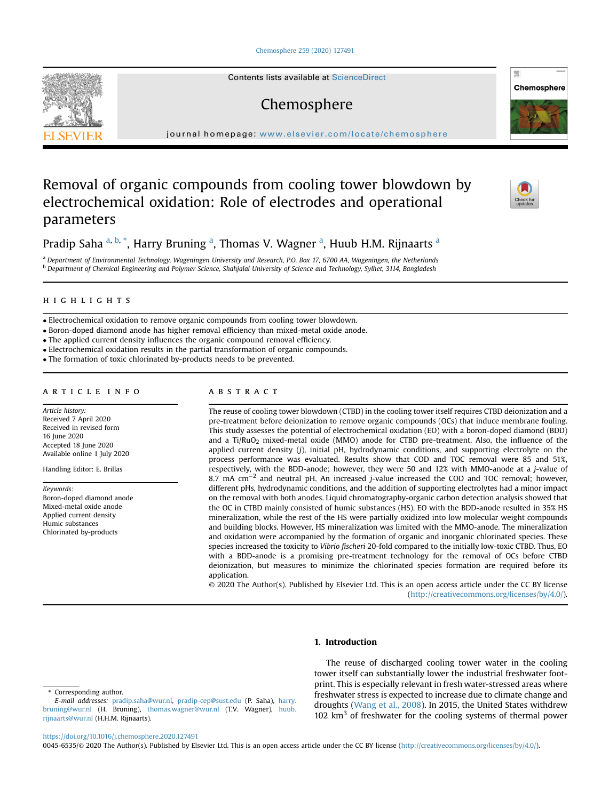### [Chemosphere 259 \(2020\) 127491](https://doi.org/10.1016/j.chemosphere.2020.127491)

Contents lists available at ScienceDirect

# Chemosphere

journal homepage: <www.elsevier.com/locate/chemosphere>

# Removal of organic compounds from cooling tower blowdown by electrochemical oxidation: Role of electrodes and operational parameters

Pr[a](#page-0-0)dip Saha <sup>a, [b,](#page-0-1)</sup> [\\*](#page-0-2), Harry Bruning <sup>a</sup>, Thomas V. Wagner <sup>a</sup>, Huub H.M. Rijnaarts <sup>a</sup>

<span id="page-0-1"></span><span id="page-0-0"></span>a Department of Environmental Technology, Wageningen University and Research, P.O. Box 17, 6700 AA, Wageningen, the Netherlands **b Department of Chemical Engineering and Polymer Science, Shahjalal University of Science and Technology, Sylhet, 3114, Bangladesh** 

Electrochemical oxidation to remove organic compounds from cooling tower blowdown.

- Boron-doped diamond anode has higher removal efficiency than mixed-metal oxide anode.
- The applied current density influences the organic compound removal efficiency.
- Electrochemical oxidation results in the partial transformation of organic compounds.
- The formation of toxic chlorinated by-products needs to be prevented.

# article info

Article history: Received 7 April 2020 Received in revised form 16 June 2020 Accepted 18 June 2020 Available online 1 July 2020

Handling Editor: E. Brillas

Keywords: Boron-doped diamond anode Mixed-metal oxide anode Applied current density Humic substances Chlorinated by-products

# abstract

The reuse of cooling tower blowdown (CTBD) in the cooling tower itself requires CTBD deionization and a pre-treatment before deionization to remove organic compounds (OCs) that induce membrane fouling. This study assesses the potential of electrochemical oxidation (EO) with a boron-doped diamond (BDD) and a Ti/RuO<sub>2</sub> mixed-metal oxide (MMO) anode for CTBD pre-treatment. Also, the influence of the applied current density  $(j)$ , initial pH, hydrodynamic conditions, and supporting electrolyte on the process performance was evaluated. Results show that COD and TOC removal were 85 and 51%, respectively, with the BDD-anode; however, they were 50 and 12% with MMO-anode at a j-value of 8.7 mA  $cm^{-2}$  and neutral pH. An increased j-value increased the COD and TOC removal; however, different pHs, hydrodynamic conditions, and the addition of supporting electrolytes had a minor impact on the removal with both anodes. Liquid chromatography-organic carbon detection analysis showed that the OC in CTBD mainly consisted of humic substances (HS). EO with the BDD-anode resulted in 35% HS mineralization, while the rest of the HS were partially oxidized into low molecular weight compounds and building blocks. However, HS mineralization was limited with the MMO-anode. The mineralization and oxidation were accompanied by the formation of organic and inorganic chlorinated species. These species increased the toxicity to Vibrio fischeri 20-fold compared to the initially low-toxic CTBD. Thus, EO with a BDD-anode is a promising pre-treatment technology for the removal of OCs before CTBD deionization, but measures to minimize the chlorinated species formation are required before its application.

© 2020 The Author(s). Published by Elsevier Ltd. This is an open access article under the CC BY license [\(http://creativecommons.org/licenses/by/4.0/](http://creativecommons.org/licenses/by/4.0/)).

#### 1. Introduction

The reuse of discharged cooling tower water in the cooling tower itself can substantially lower the industrial freshwater footprint. This is especially relevant in fresh water-stressed areas where freshwater stress is expected to increase due to climate change and droughts ([Wang et al., 2008\)](#page-8-0). In 2015, the United States withdrew 102  $\text{km}^3$  of freshwater for the cooling systems of thermal power

<span id="page-0-2"></span>Corresponding author.

<https://doi.org/10.1016/j.chemosphere.2020.127491>

0045-6535/© 2020 The Author(s). Published by Elsevier Ltd. This is an open access article under the CC BY license (<http://creativecommons.org/licenses/by/4.0/>).







E-mail addresses: [pradip.saha@wur.nl,](mailto:pradip.saha@wur.nl) [pradip-cep@sust.edu](mailto:pradip-cep@sust.edu) (P. Saha), [harry.](mailto:harry.bruning@wur.nl) [bruning@wur.nl](mailto:harry.bruning@wur.nl) (H. Bruning), [thomas.wagner@wur.nl](mailto:thomas.wagner@wur.nl) (T.V. Wagner), [huub.](mailto:huub.rijnaarts@wur.nl) [rijnaarts@wur.nl](mailto:huub.rijnaarts@wur.nl) (H.H.M. Rijnaarts).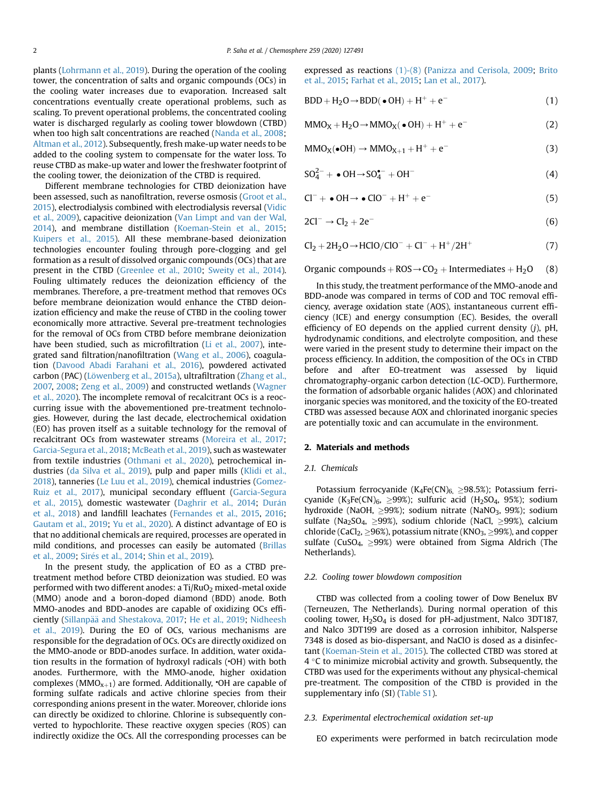plants [\(Lohrmann et al., 2019](#page-7-0)). During the operation of the cooling tower, the concentration of salts and organic compounds (OCs) in the cooling water increases due to evaporation. Increased salt concentrations eventually create operational problems, such as scaling. To prevent operational problems, the concentrated cooling water is discharged regularly as cooling tower blowdown (CTBD) when too high salt concentrations are reached [\(Nanda et al., 2008](#page-7-1); [Altman et al., 2012\)](#page-7-2). Subsequently, fresh make-up water needs to be added to the cooling system to compensate for the water loss. To reuse CTBD as make-up water and lower the freshwater footprint of the cooling tower, the deionization of the CTBD is required.

Different membrane technologies for CTBD deionization have been assessed, such as nanofiltration, reverse osmosis ([Groot et al.,](#page-7-3) [2015](#page-7-3)), electrodialysis combined with electrodialysis reversal ([Vidic](#page-8-1) [et al., 2009](#page-8-1)), capacitive deionization [\(Van Limpt and van der Wal,](#page-8-2) [2014](#page-8-2)), and membrane distillation ([Koeman-Stein et al., 2015](#page-7-4); [Kuipers et al., 2015\)](#page-7-5). All these membrane-based deionization technologies encounter fouling through pore-clogging and gel formation as a result of dissolved organic compounds (OCs) that are present in the CTBD [\(Greenlee et al., 2010;](#page-7-6) [Sweity et al., 2014\)](#page-8-3). Fouling ultimately reduces the deionization efficiency of the membranes. Therefore, a pre-treatment method that removes OCs before membrane deionization would enhance the CTBD deionization efficiency and make the reuse of CTBD in the cooling tower economically more attractive. Several pre-treatment technologies for the removal of OCs from CTBD before membrane deionization have been studied, such as microfiltration [\(Li et al., 2007](#page-7-7)), integrated sand filtration/nanofiltration [\(Wang et al., 2006\)](#page-8-4), coagulation ([Davood Abadi Farahani et al., 2016](#page-7-8)), powdered activated carbon (PAC) (Löwenberg et al., 2015a), ultrafiltration [\(Zhang et al.,](#page-8-5) [2007,](#page-8-5) [2008](#page-8-6); [Zeng et al., 2009](#page-8-7)) and constructed wetlands [\(Wagner](#page-8-8) [et al., 2020\)](#page-8-8). The incomplete removal of recalcitrant OCs is a reoccurring issue with the abovementioned pre-treatment technologies. However, during the last decade, electrochemical oxidation (EO) has proven itself as a suitable technology for the removal of recalcitrant OCs from wastewater streams ([Moreira et al., 2017](#page-7-10); [Garcia-Segura et al., 2018](#page-7-11); [McBeath et al., 2019](#page-7-12)), such as wastewater from textile industries [\(Othmani et al., 2020](#page-7-13)), petrochemical industries [\(da Silva et al., 2019\)](#page-7-14), pulp and paper mills ([Klidi et al.,](#page-7-15) [2018\)](#page-7-15), tanneries [\(Le Luu et al., 2019](#page-7-16)), chemical industries [\(Gomez-](#page-7-17)[Ruiz et al., 2017](#page-7-17)), municipal secondary effluent [\(Garcia-Segura](#page-7-18) [et al., 2015](#page-7-18)), domestic wastewater [\(Daghrir et al., 2014](#page-7-19); Durán [et al., 2018\)](#page-7-20) and landfill leachates ([Fernandes et al., 2015](#page-7-21), [2016](#page-7-22); [Gautam et al., 2019;](#page-7-23) [Yu et al., 2020\)](#page-8-9). A distinct advantage of EO is that no additional chemicals are required, processes are operated in mild conditions, and processes can easily be automated ([Brillas](#page-7-24) [et al., 2009;](#page-7-24) [Sir](#page-8-10)é[s et al., 2014](#page-8-10); [Shin et al., 2019](#page-8-11)).

In the present study, the application of EO as a CTBD pretreatment method before CTBD deionization was studied. EO was performed with two different anodes: a Ti/RuO<sub>2</sub> mixed-metal oxide (MMO) anode and a boron-doped diamond (BDD) anode. Both MMO-anodes and BDD-anodes are capable of oxidizing OCs effi-ciently [\(Sillanp](#page-8-12)ää [and Shestakova, 2017](#page-8-12); [He et al., 2019;](#page-7-25) [Nidheesh](#page-7-26) [et al., 2019\)](#page-7-26). During the EO of OCs, various mechanisms are responsible for the degradation of OCs. OCs are directly oxidized on the MMO-anode or BDD-anodes surface. In addition, water oxidation results in the formation of hydroxyl radicals ( OH) with both anodes. Furthermore, with the MMO-anode, higher oxidation complexes ( $\text{MMO}_{x+1}$ ) are formed. Additionally,  $\cdot$ OH are capable of forming sulfate radicals and active chlorine species from their corresponding anions present in the water. Moreover, chloride ions can directly be oxidized to chlorine. Chlorine is subsequently converted to hypochlorite. These reactive oxygen species (ROS) can indirectly oxidize the OCs. All the corresponding processes can be expressed as reactions [\(1\)-\(8\)](#page-1-0) ([Panizza and Cerisola, 2009](#page-7-27); [Brito](#page-7-28) [et al., 2015;](#page-7-28) [Farhat et al., 2015;](#page-7-29) [Lan et al., 2017\)](#page-7-30).

<span id="page-1-0"></span>
$$
BDD + H_2O \rightarrow BDD(\bullet OH) + H^+ + e^-
$$
 (1)

$$
MMO_X + H_2O \rightarrow MMO_X(\bullet OH) + H^+ + e^-
$$
 (2)

$$
MMO_X(\bullet OH) \to MMO_{X+1} + H^+ + e^- \tag{3}
$$

$$
SO_4^{2-} + \bullet OH \rightarrow SO_4^{\bullet-} + OH^- \tag{4}
$$

$$
Cl^- + \bullet OH \rightarrow \bullet ClO^- + H^+ + e^-
$$
 (5)

$$
2Cl^{-} \rightarrow Cl_{2} + 2e^{-}
$$
 (6)

$$
Cl2 + 2H2O \rightarrow HClO/CIO- + Cl- + H+/2H+
$$
 (7)

Organic compounds +  $ROS \rightarrow CO<sub>2</sub>$  + Intermediates +  $H<sub>2</sub>O$  (8)

In this study, the treatment performance of the MMO-anode and BDD-anode was compared in terms of COD and TOC removal efficiency, average oxidation state (AOS), instantaneous current efficiency (ICE) and energy consumption (EC). Besides, the overall efficiency of EO depends on the applied current density  $(i)$ , pH, hydrodynamic conditions, and electrolyte composition, and these were varied in the present study to determine their impact on the process efficiency. In addition, the composition of the OCs in CTBD before and after EO-treatment was assessed by liquid chromatography-organic carbon detection (LC-OCD). Furthermore, the formation of adsorbable organic halides (AOX) and chlorinated inorganic species was monitored, and the toxicity of the EO-treated CTBD was assessed because AOX and chlorinated inorganic species are potentially toxic and can accumulate in the environment.

#### 2. Materials and methods

#### 2.1. Chemicals

Potassium ferrocyanide (K<sub>4</sub>Fe(CN)<sub>6,  $\geq$ 98.5%); Potassium ferri-</sub> cyanide (K<sub>3</sub>Fe(CN)<sub>6</sub>,  $\geq$ 99%); sulfuric acid (H<sub>2</sub>SO<sub>4</sub>, 95%); sodium hydroxide (NaOH,  $\geq$ 99%); sodium nitrate (NaNO<sub>3</sub>, 99%); sodium sulfate (Na<sub>2</sub>SO<sub>4</sub>,  $\geq$ 99%), sodium chloride (NaCl,  $\geq$ 99%), calcium chloride (CaCl<sub>2</sub>,  $\geq$ 96%), potassium nitrate (KNO<sub>3</sub>,  $\geq$ 99%), and copper sulfate (CuSO<sub>4</sub>,  $\geq$ 99%) were obtained from Sigma Aldrich (The Netherlands).

#### 2.2. Cooling tower blowdown composition

CTBD was collected from a cooling tower of Dow Benelux BV (Terneuzen, The Netherlands). During normal operation of this cooling tower, H<sub>2</sub>SO<sub>4</sub> is dosed for pH-adjustment, Nalco 3DT187, and Nalco 3DT199 are dosed as a corrosion inhibitor, Nalsperse 7348 is dosed as bio-dispersant, and NaClO is dosed as a disinfectant ([Koeman-Stein et al., 2015](#page-7-4)). The collected CTBD was stored at  $4^{\circ}$ C to minimize microbial activity and growth. Subsequently, the CTBD was used for the experiments without any physical-chemical pre-treatment. The composition of the CTBD is provided in the supplementary info (SI) (Table S1).

#### 2.3. Experimental electrochemical oxidation set-up

EO experiments were performed in batch recirculation mode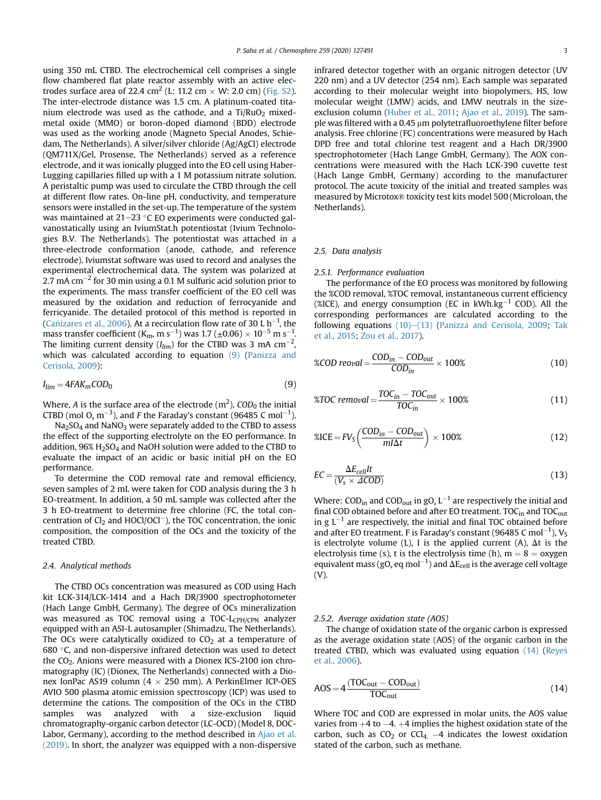using 350 mL CTBD. The electrochemical cell comprises a single flow chambered flat plate reactor assembly with an active electrodes surface area of 22.4 cm<sup>2</sup> (L: 11.2 cm  $\times$  W: 2.0 cm) (Fig. S2). The inter-electrode distance was 1.5 cm. A platinum-coated titanium electrode was used as the cathode, and a  $Ti/RuO<sub>2</sub>$  mixedmetal oxide (MMO) or boron-doped diamond (BDD) electrode was used as the working anode (Magneto Special Anodes, Schiedam, The Netherlands). A silver/silver chloride (Ag/AgCl) electrode (QM711X/Gel, Prosense, The Netherlands) served as a reference electrode, and it was ionically plugged into the EO cell using Haber-Lugging capillaries filled up with a 1 M potassium nitrate solution. A peristaltic pump was used to circulate the CTBD through the cell at different flow rates. On-line pH, conductivity, and temperature sensors were installed in the set-up. The temperature of the system was maintained at  $21-23$  °C EO experiments were conducted galvanostatically using an IviumStat.h potentiostat (Ivium Technologies B.V. The Netherlands). The potentiostat was attached in a three-electrode conformation (anode, cathode, and reference electrode). Iviumstat software was used to record and analyses the experimental electrochemical data. The system was polarized at 2.7 mA  $cm^{-2}$  for 30 min using a 0.1 M sulfuric acid solution prior to the experiments. The mass transfer coefficient of the EO cell was measured by the oxidation and reduction of ferrocyanide and ferricyanide. The detailed protocol of this method is reported in (Cañizares et al., 2006). At a recirculation flow rate of 30 L h $^{-1}$ , the mass transfer coefficient (K<sub>m</sub>, m s<sup>-1</sup>) was 1.7 ( $\pm$ 0.06)  $\times$  10<sup>-5</sup> m s<sup>-1</sup>. The limiting current density ( $I_{lim}$ ) for the CTBD was 3 mA cm<sup>-2</sup>, which was calculated according to equation [\(9\)](#page-2-0) ([Panizza and](#page-7-27) [Cerisola, 2009](#page-7-27)):

<span id="page-2-0"></span>
$$
I_{lim} = 4FAK_m COD_0 \tag{9}
$$

Where, A is the surface area of the electrode (m<sup>2</sup>), COD<sub>0</sub> the initial CTBD (mol O<sub>2</sub> m<sup>-3</sup>), and F the Faraday's constant (96485 C mol<sup>-1</sup>).

Na<sub>2</sub>SO<sub>4</sub> and NaNO<sub>3</sub> were separately added to the CTBD to assess the effect of the supporting electrolyte on the EO performance. In addition,  $96\%$  H<sub>2</sub>SO<sub>4</sub> and NaOH solution were added to the CTBD to evaluate the impact of an acidic or basic initial pH on the EO performance.

To determine the COD removal rate and removal efficiency, seven samples of 2 mL were taken for COD analysis during the 3 h EO-treatment. In addition, a 50 mL sample was collected after the 3 h EO-treatment to determine free chlorine (FC, the total concentration of  $Cl<sub>2</sub>$  and HOCl/OCl<sup>-</sup>), the TOC concentration, the ionic composition, the composition of the OCs and the toxicity of the treated CTBD.

# 2.4. Analytical methods

The CTBD OCs concentration was measured as COD using Hach kit LCK-314/LCK-1414 and a Hach DR/3900 spectrophotometer (Hach Lange GmbH, Germany). The degree of OCs mineralization was measured as TOC removal using a TOC- $L_{\text{CPH/CPN}}$  analyzer equipped with an ASI-L autosampler (Shimadzu, The Netherlands). The OCs were catalytically oxidized to  $CO<sub>2</sub>$  at a temperature of 680 $\degree$ C, and non-dispersive infrared detection was used to detect the  $CO<sub>2</sub>$ . Anions were measured with a Dionex ICS-2100 ion chromatography (IC) (Dionex, The Netherlands) connected with a Dionex IonPac AS19 column ( $4 \times 250$  mm). A PerkinElmer ICP-OES AVIO 500 plasma atomic emission spectroscopy (ICP) was used to determine the cations. The composition of the OCs in the CTBD samples was analyzed with a size-exclusion liquid chromatography-organic carbon detector (LC-OCD) (Model 8, DOC-Labor, Germany), according to the method described in [Ajao et al.](#page-7-32) [\(2019\).](#page-7-32) In short, the analyzer was equipped with a non-dispersive infrared detector together with an organic nitrogen detector (UV 220 nm) and a UV detector (254 nm). Each sample was separated according to their molecular weight into biopolymers, HS, low molecular weight (LMW) acids, and LMW neutrals in the sizeexclusion column [\(Huber et al., 2011;](#page-7-33) [Ajao et al., 2019](#page-7-32)). The sample was filtered with a 0.45 µm polytetrafluoroethylene filter before analysis. Free chlorine (FC) concentrations were measured by Hach DPD free and total chlorine test reagent and a Hach DR/3900 spectrophotometer (Hach Lange GmbH, Germany). The AOX concentrations were measured with the Hach LCK-390 cuvette test (Hach Lange GmbH, Germany) according to the manufacturer protocol. The acute toxicity of the initial and treated samples was measured by Microtox® toxicity test kits model 500 (Microloan, the Netherlands).

#### 2.5. Data analysis

#### 2.5.1. Performance evaluation

The performance of the EO process was monitored by following the %COD removal, %TOC removal, instantaneous current efficiency (%ICE), and energy consumption (EC in  $kWh.kg^{-1}$  COD). All the corresponding performances are calculated according to the following equations  $(10)$ – $(13)$  ([Panizza and Cerisola, 2009](#page-7-27); [Tak](#page-8-13) [et al., 2015](#page-8-13); [Zou et al., 2017](#page-8-14)).

<span id="page-2-1"></span>
$$
\% COD \: \text{reoval} = \frac{COD_{in} - COD_{out}}{COD_{in}} \times 100\% \tag{10}
$$

$$
\% TOC \, removal = \frac{TOC_{in} - TOC_{out}}{TOC_{in}} \times 100\% \tag{11}
$$

$$
\%ICE = FV_S \left( \frac{COD_{in} - COD_{out}}{mI\Delta t} \right) \times 100\%
$$
\n(12)

$$
EC = \frac{\Delta E_{cell} It}{(V_s \times \Delta COD)}
$$
(13)

Where:  $\text{COD}_{\text{in}}$  and  $\text{COD}_{\text{out}}$  in  $\text{gO}_2$  L<sup>-1</sup> are respectively the initial and final COD obtained before and after EO treatment.  $TOC<sub>in</sub>$  and  $TOC<sub>out</sub>$ in g  $L^{-1}$  are respectively, the initial and final TOC obtained before and after EO treatment. F is Faraday's constant (96485 C mol $^{-1}$ ), Vs is electrolyte volume (L), I is the applied current (A),  $\Delta t$  is the electrolysis time (s), t is the electrolysis time (h),  $m = 8 =$  oxygen equivalent mass (gO2 eq mol $^{-1}$ ) and  $\Delta E_{cell}$  is the average cell voltage (V).

#### <span id="page-2-2"></span>2.5.2. Average oxidation state (AOS)

The change of oxidation state of the organic carbon is expressed as the average oxidation state (AOS) of the organic carbon in the treated CTBD, which was evaluated using equation [\(14\)](#page-2-2) [\(Reyes](#page-7-34) [et al., 2006\)](#page-7-34).

$$
AOS = 4 \frac{(TOC_{out} - COD_{out})}{TOC_{out}} \tag{14}
$$

Where TOC and COD are expressed in molar units, the AOS value varies from  $+4$  to  $-4$ .  $+4$  implies the highest oxidation state of the carbon, such as  $CO<sub>2</sub>$  or  $COL<sub>4</sub>$  –4 indicates the lowest oxidation stated of the carbon, such as methane.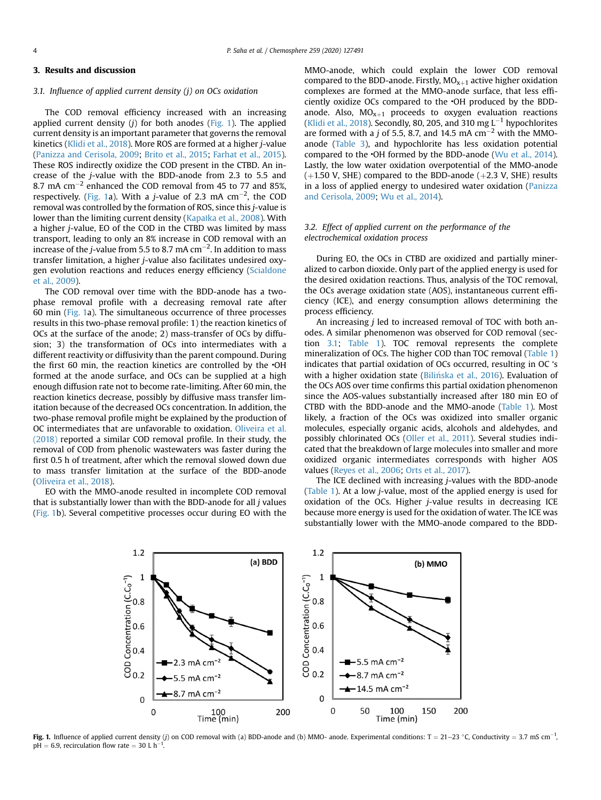#### 3. Results and discussion

### <span id="page-3-1"></span>3.1. Influence of applied current density (j) on OCs oxidation

The COD removal efficiency increased with an increasing applied current density  $(i)$  for both anodes ([Fig. 1](#page-3-0)). The applied current density is an important parameter that governs the removal kinetics [\(Klidi et al., 2018\)](#page-7-15). More ROS are formed at a higher j-value ([Panizza and Cerisola, 2009;](#page-7-27) [Brito et al., 2015;](#page-7-28) [Farhat et al., 2015\)](#page-7-29). These ROS indirectly oxidize the COD present in the CTBD. An increase of the j-value with the BDD-anode from 2.3 to 5.5 and 8.7 mA  $cm^{-2}$  enhanced the COD removal from 45 to 77 and 85%, respectively. ([Fig. 1a](#page-3-0)). With a *j*-value of 2.3 mA cm<sup>-2</sup>, the COD removal was controlled by the formation of ROS, since this j-value is lower than the limiting current density (Kapał[ka et al., 2008\)](#page-7-35). With a higher j-value, EO of the COD in the CTBD was limited by mass transport, leading to only an 8% increase in COD removal with an increase of the  $j$ -value from 5.5 to 8.7 mA cm $^{-2}$ . In addition to mass transfer limitation, a higher j-value also facilitates undesired oxygen evolution reactions and reduces energy efficiency ([Scialdone](#page-7-36) [et al., 2009\)](#page-7-36).

The COD removal over time with the BDD-anode has a twophase removal profile with a decreasing removal rate after 60 min ([Fig. 1a](#page-3-0)). The simultaneous occurrence of three processes results in this two-phase removal profile: 1) the reaction kinetics of OCs at the surface of the anode; 2) mass-transfer of OCs by diffusion; 3) the transformation of OCs into intermediates with a different reactivity or diffusivity than the parent compound. During the first 60 min, the reaction kinetics are controlled by the  $\cdot$ OH formed at the anode surface, and OCs can be supplied at a high enough diffusion rate not to become rate-limiting. After 60 min, the reaction kinetics decrease, possibly by diffusive mass transfer limitation because of the decreased OCs concentration. In addition, the two-phase removal profile might be explained by the production of OC intermediates that are unfavorable to oxidation. [Oliveira et al.](#page-7-37) [\(2018\)](#page-7-37) reported a similar COD removal profile. In their study, the removal of COD from phenolic wastewaters was faster during the first 0.5 h of treatment, after which the removal slowed down due to mass transfer limitation at the surface of the BDD-anode ([Oliveira et al., 2018](#page-7-37)).

<span id="page-3-0"></span>EO with the MMO-anode resulted in incomplete COD removal that is substantially lower than with the BDD-anode for all  $j$  values ([Fig. 1b](#page-3-0)). Several competitive processes occur during EO with the MMO-anode, which could explain the lower COD removal compared to the BDD-anode. Firstly,  $MO_{X+1}$  active higher oxidation complexes are formed at the MMO-anode surface, that less efficiently oxidize OCs compared to the 'OH produced by the BDDanode. Also,  $MO_{x+1}$  proceeds to oxygen evaluation reactions ([Klidi et al., 2018\)](#page-7-15). Secondly, 80, 205, and 310 mg  $L^{-1}$  hypochlorites are formed with a j of 5.5, 8.7, and 14.5 mA  $cm^{-2}$  with the MMOanode ([Table 3\)](#page-6-0), and hypochlorite has less oxidation potential compared to the OH formed by the BDD-anode ([Wu et al., 2014\)](#page-8-15). Lastly, the low water oxidation overpotential of the MMO-anode  $(+1.50 \text{ V}, \text{SHE})$  compared to the BDD-anode  $(+2.3 \text{ V}, \text{SHE})$  results in a loss of applied energy to undesired water oxidation [\(Panizza](#page-7-27) [and Cerisola, 2009;](#page-7-27) [Wu et al., 2014](#page-8-15)).

## <span id="page-3-2"></span>3.2. Effect of applied current on the performance of the electrochemical oxidation process

During EO, the OCs in CTBD are oxidized and partially mineralized to carbon dioxide. Only part of the applied energy is used for the desired oxidation reactions. Thus, analysis of the TOC removal, the OCs average oxidation state (AOS), instantaneous current efficiency (ICE), and energy consumption allows determining the process efficiency.

An increasing j led to increased removal of TOC with both anodes. A similar phenomenon was observed for COD removal (section [3.1](#page-3-1); [Table 1\)](#page-4-0). TOC removal represents the complete mineralization of OCs. The higher COD than TOC removal ([Table 1\)](#page-4-0) indicates that partial oxidation of OCs occurred, resulting in OC 's with a higher oxidation state (Bilińska et al., 2016). Evaluation of the OCs AOS over time confirms this partial oxidation phenomenon since the AOS-values substantially increased after 180 min EO of CTBD with the BDD-anode and the MMO-anode [\(Table 1](#page-4-0)). Most likely, a fraction of the OCs was oxidized into smaller organic molecules, especially organic acids, alcohols and aldehydes, and possibly chlorinated OCs ([Oller et al., 2011](#page-7-39)). Several studies indicated that the breakdown of large molecules into smaller and more oxidized organic intermediates corresponds with higher AOS values [\(Reyes et al., 2006](#page-7-34); [Orts et al., 2017](#page-7-40)).

The ICE declined with increasing j-values with the BDD-anode ([Table 1](#page-4-0)). At a low j-value, most of the applied energy is used for oxidation of the OCs. Higher j-value results in decreasing ICE because more energy is used for the oxidation of water. The ICE was substantially lower with the MMO-anode compared to the BDD-



**Fig. 1.** Influence of applied current density (j) on COD removal with (a) BDD-anode and (b) MMO- anode. Experimental conditions: T = 21–23 °C, Conductivity = 3.7 mS cm<sup>-1</sup>,  $pH = 6.9$ , recirculation flow rate = 30 L h<sup>-</sup> .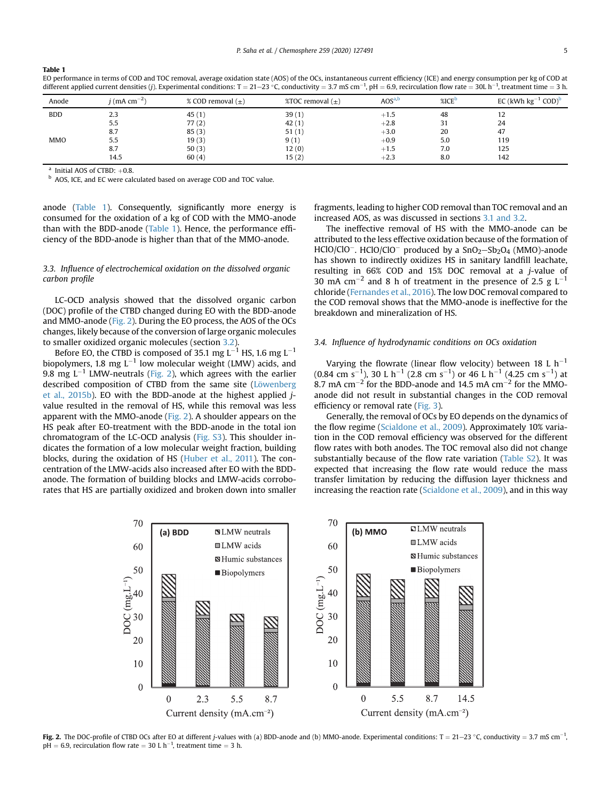<span id="page-4-0"></span>

| $\sim$<br>$\sim$<br>. . |  |
|-------------------------|--|
|-------------------------|--|

EO performance in terms of COD and TOC removal, average oxidation state (AOS) of the OCs, instantaneous current efficiency (ICE) and energy consumption per kg of COD at different applied current densities (j). Experimental conditions: T = 21–23 °C, conductivity = 3.7 mS cm<sup>-1</sup>, pH = 6.9, recirculation flow rate = 30L h<sup>-1</sup>, treatment time = 3 h.

| Anode      | $j$ (mA cm <sup>-2</sup> ) | % COD removal $(\pm)$ | $\%$ TOC removal ( $\pm$ ) | AOS <sup>a,b</sup> | %ICE <sup>b</sup> | COD) <sup>b</sup><br>EC (kWh $kg^{-1}$ |
|------------|----------------------------|-----------------------|----------------------------|--------------------|-------------------|----------------------------------------|
| <b>BDD</b> | 2.3                        | 45(1)                 | 39(1)                      | $+1.5$             | 48                | 12                                     |
|            | 5.5                        | 77(2)                 | 42(1)                      | $+2.8$             | 31                | 24                                     |
|            | 8.7                        | 85(3)                 | 51(1)                      | $+3.0$             | 20                | 47                                     |
| <b>MMO</b> | 5.5                        | 19(3)                 | 9(1)                       | $+0.9$             | 5.0               | 119                                    |
|            | 8.7                        | 50(3)                 | 12(0)                      | $+1.5$             | 7.0               | 125                                    |
|            | 14.5                       | 60(4)                 | 15(2)                      | $+2.3$             | 8.0               | 142                                    |

<span id="page-4-3"></span>

<span id="page-4-2"></span><sup>a</sup> Initial AOS of CTBD:  $+0.8$ . **b** AOS, ICE, and EC were calculated based on average COD and TOC value.

anode [\(Table 1](#page-4-0)). Consequently, significantly more energy is consumed for the oxidation of a kg of COD with the MMO-anode than with the BDD-anode ([Table 1](#page-4-0)). Hence, the performance efficiency of the BDD-anode is higher than that of the MMO-anode.

# 3.3. Influence of electrochemical oxidation on the dissolved organic carbon profile

LC-OCD analysis showed that the dissolved organic carbon (DOC) profile of the CTBD changed during EO with the BDD-anode and MMO-anode [\(Fig. 2\)](#page-4-1). During the EO process, the AOS of the OCs changes, likely because of the conversion of large organic molecules to smaller oxidized organic molecules (section [3.2](#page-3-2)).

Before EO, the CTBD is composed of 35.1 mg  $L^{-1}$  HS, 1.6 mg  $L^{-1}$ biopolymers, 1.8 mg  $L^{-1}$  low molecular weight (LMW) acids, and 9.8 mg  $L^{-1}$  LMW-neutrals [\(Fig. 2](#page-4-1)), which agrees with the earlier described composition of CTBD from the same site (Löwenberg [et al., 2015b\)](#page-7-41). EO with the BDD-anode at the highest applied jvalue resulted in the removal of HS, while this removal was less apparent with the MMO-anode ([Fig. 2\)](#page-4-1). A shoulder appears on the HS peak after EO-treatment with the BDD-anode in the total ion chromatogram of the LC-OCD analysis (Fig. S3). This shoulder indicates the formation of a low molecular weight fraction, building blocks, during the oxidation of HS [\(Huber et al., 2011](#page-7-33)). The concentration of the LMW-acids also increased after EO with the BDDanode. The formation of building blocks and LMW-acids corroborates that HS are partially oxidized and broken down into smaller fragments, leading to higher COD removal than TOC removal and an increased AOS, as was discussed in sections [3.1 and 3.2](#page-3-1).

The ineffective removal of HS with the MMO-anode can be attributed to the less effective oxidation because of the formation of HClO/ClO<sup>-</sup>. HClO/ClO<sup>-</sup> produced by a  $SnO<sub>2</sub>-Sb<sub>2</sub>O<sub>4</sub>$  (MMO)-anode has shown to indirectly oxidizes HS in sanitary landfill leachate, resulting in 66% COD and 15% DOC removal at a j-value of 30 mA  $\text{cm}^{-2}$  and 8 h of treatment in the presence of 2.5 g L<sup>-1</sup> chloride [\(Fernandes et al., 2016\)](#page-7-22). The low DOC removal compared to the COD removal shows that the MMO-anode is ineffective for the breakdown and mineralization of HS.

#### 3.4. Influence of hydrodynamic conditions on OCs oxidation

Varying the flowrate (linear flow velocity) between 18 L  $h^{-1}$  $(0.84 \text{ cm s}^{-1})$ , 30 L h<sup>-1</sup> (2.8 cm s<sup>-1</sup>) or 46 L h<sup>-1</sup> (4.25 cm s<sup>-1</sup>) at 8.7 mA cm<sup>-2</sup> for the BDD-anode and 14.5 mA cm<sup>-2</sup> for the MMOanode did not result in substantial changes in the COD removal efficiency or removal rate ([Fig. 3](#page-5-0)).

Generally, the removal of OCs by EO depends on the dynamics of the flow regime ([Scialdone et al., 2009](#page-7-36)). Approximately 10% variation in the COD removal efficiency was observed for the different flow rates with both anodes. The TOC removal also did not change substantially because of the flow rate variation (Table S2). It was expected that increasing the flow rate would reduce the mass transfer limitation by reducing the diffusion layer thickness and increasing the reaction rate [\(Scialdone et al., 2009](#page-7-36)), and in this way

<span id="page-4-1"></span>

**Fig. 2.** The DOC-profile of CTBD OCs after EO at different j-values with (a) BDD-anode and (b) MMO-anode. Experimental conditions: T = 21–23 °C, conductivity = 3.7 mS cm<sup>-1</sup>.  $pH = 6.9$ , recirculation flow rate  $= 30 \, L \, h^{-1}$ , treatment time  $= 3 \, h$ .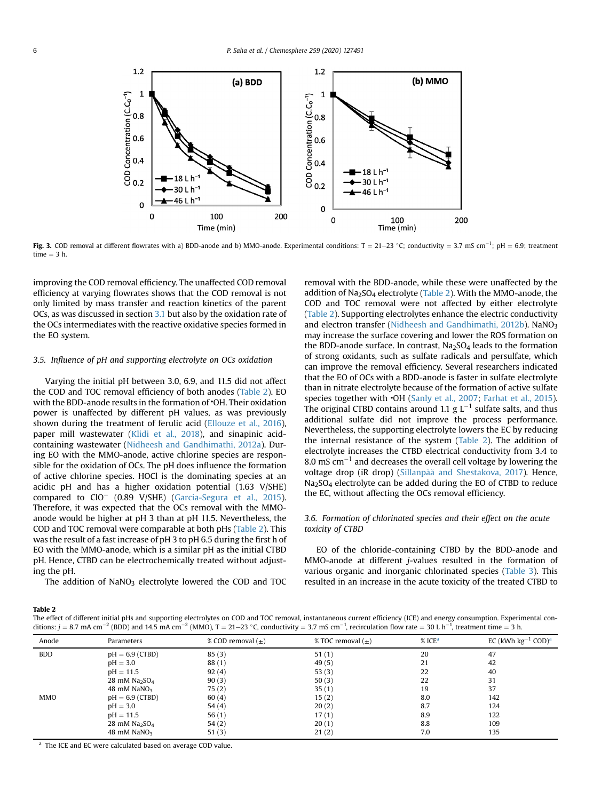<span id="page-5-0"></span>

**Fig. 3.** COD removal at different flowrates with a) BDD-anode and b) MMO-anode. Experimental conditions: T = 21–23 °C; conductivity = 3.7 mS cm<sup>-1</sup>; pH = 6.9; treatment time  $=$  3 h.

improving the COD removal efficiency. The unaffected COD removal efficiency at varying flowrates shows that the COD removal is not only limited by mass transfer and reaction kinetics of the parent OCs, as was discussed in section [3.1](#page-3-1) but also by the oxidation rate of the OCs intermediates with the reactive oxidative species formed in the EO system.

### 3.5. Influence of pH and supporting electrolyte on OCs oxidation

Varying the initial pH between 3.0, 6.9, and 11.5 did not affect the COD and TOC removal efficiency of both anodes [\(Table 2\)](#page-5-1). EO with the BDD-anode results in the formation of  $\cdot$ OH. Their oxidation power is unaffected by different pH values, as was previously shown during the treatment of ferulic acid ([Ellouze et al., 2016\)](#page-7-42), paper mill wastewater [\(Klidi et al., 2018\)](#page-7-15), and sinapinic acidcontaining wastewater ([Nidheesh and Gandhimathi, 2012a\)](#page-7-43). During EO with the MMO-anode, active chlorine species are responsible for the oxidation of OCs. The pH does influence the formation of active chlorine species. HOCl is the dominating species at an acidic pH and has a higher oxidation potential (1.63 V/SHE) compared to  $ClO^-$  (0.89 V/SHE) [\(Garcia-Segura et al., 2015\)](#page-7-18). Therefore, it was expected that the OCs removal with the MMOanode would be higher at pH 3 than at pH 11.5. Nevertheless, the COD and TOC removal were comparable at both pHs [\(Table 2](#page-5-1)). This was the result of a fast increase of pH 3 to pH 6.5 during the first h of EO with the MMO-anode, which is a similar pH as the initial CTBD pH. Hence, CTBD can be electrochemically treated without adjusting the pH.

The addition of  $NaNO<sub>3</sub>$  electrolyte lowered the COD and TOC

removal with the BDD-anode, while these were unaffected by the addition of  $Na<sub>2</sub>SO<sub>4</sub>$  electrolyte ([Table 2](#page-5-1)). With the MMO-anode, the COD and TOC removal were not affected by either electrolyte ([Table 2](#page-5-1)). Supporting electrolytes enhance the electric conductivity and electron transfer [\(Nidheesh and Gandhimathi, 2012b\)](#page-7-44). NaNO3 may increase the surface covering and lower the ROS formation on the BDD-anode surface. In contrast,  $Na<sub>2</sub>SO<sub>4</sub>$  leads to the formation of strong oxidants, such as sulfate radicals and persulfate, which can improve the removal efficiency. Several researchers indicated that the EO of OCs with a BDD-anode is faster in sulfate electrolyte than in nitrate electrolyte because of the formation of active sulfate species together with OH ([Sanly et al., 2007;](#page-7-45) [Farhat et al., 2015\)](#page-7-29). The original CTBD contains around 1.1 g  $L^{-1}$  sulfate salts, and thus additional sulfate did not improve the process performance. Nevertheless, the supporting electrolyte lowers the EC by reducing the internal resistance of the system ([Table 2](#page-5-1)). The addition of electrolyte increases the CTBD electrical conductivity from 3.4 to 8.0 mS  $cm^{-1}$  and decreases the overall cell voltage by lowering the voltage drop (iR drop) ([Sillanp](#page-8-12)ää [and Shestakova, 2017](#page-8-12)). Hence,  $Na<sub>2</sub>SO<sub>4</sub>$  electrolyte can be added during the EO of CTBD to reduce the EC, without affecting the OCs removal efficiency.

## 3.6. Formation of chlorinated species and their effect on the acute toxicity of CTBD

EO of the chloride-containing CTBD by the BDD-anode and MMO-anode at different j-values resulted in the formation of various organic and inorganic chlorinated species ([Table 3\)](#page-6-0). This resulted in an increase in the acute toxicity of the treated CTBD to

<span id="page-5-1"></span>

|--|--|--|

The effect of different initial pHs and supporting electrolytes on COD and TOC removal, instantaneous current efficiency (ICE) and energy consumption. Experimental conditions:  $j = 8.7$  mA cm<sup>-2</sup> (BDD) and 14.5 mA cm<sup>-2</sup> (MMO), T = 21–23 °C, conductivity = 3.7 mS cm<sup>-1</sup>, recirculation flow rate = 30 L h<sup>-1</sup>, treatment time = 3 h.

| Anode      | Parameters              | % COD removal $(\pm)$ | % TOC removal $(\pm)$ | $%$ ICE <sup>a</sup> | EC (kWh $kg^{-1}$ COD) <sup>a</sup> |
|------------|-------------------------|-----------------------|-----------------------|----------------------|-------------------------------------|
| <b>BDD</b> | $pH = 6.9$ (CTBD)       | 85(3)                 | 51(1)                 | 20                   | 47                                  |
|            | $pH = 3.0$              | 88(1)                 | 49(5)                 | 21                   | 42                                  |
|            | $pH = 11.5$             | 92(4)                 | 53(3)                 | 22                   | 40                                  |
|            | 28 mM $Na2SO4$          | 90(3)                 | 50(3)                 | 22                   | 31                                  |
|            | 48 mM NaNO <sub>3</sub> | 75(2)                 | 35(1)                 | 19                   | 37                                  |
| <b>MMO</b> | $pH = 6.9$ (CTBD)       | 60(4)                 | 15(2)                 | 8.0                  | 142                                 |
|            | $pH = 3.0$              | 54(4)                 | 20(2)                 | 8.7                  | 124                                 |
|            | $pH = 11.5$             | 56 $(1)$              | 17(1)                 | 8.9                  | 122                                 |
|            | 28 mM $Na2SO4$          | 54(2)                 | 20(1)                 | 8.8                  | 109                                 |
|            | 48 mM NaNO <sub>3</sub> | 51(3)                 | 21(2)                 | 7.0                  | 135                                 |

<span id="page-5-2"></span><sup>a</sup> The ICE and EC were calculated based on average COD value.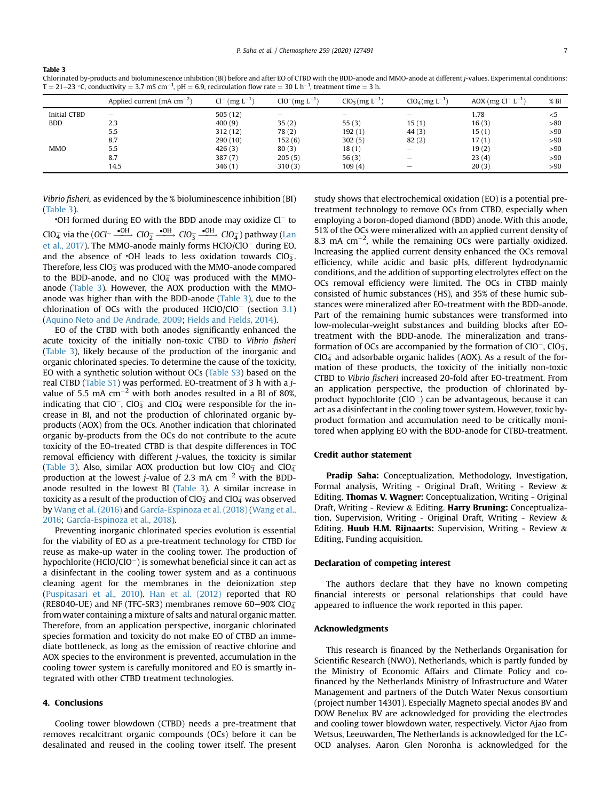<span id="page-6-0"></span>Table 3

| Chlorinated by-products and bioluminescence inhibition (BI) before and after EO of CTBD with the BDD-anode and MMO-anode at different <i>j</i> -values. Experimental conditions: |  |
|----------------------------------------------------------------------------------------------------------------------------------------------------------------------------------|--|
| T = 21-23 °C, conductivity = 3.7 mS cm <sup>-1</sup> , pH = 6.9, recirculation flow rate = 30 L h <sup>-1</sup> , treatment time = 3 h.                                          |  |

|              | Applied current (mA $cm^{-2}$ ) | $Cl^{-}$ (mg $L^{-1}$ ) | $ClO^{-}(mg L^{-1})$     | $ClO3(mg L-1)$ | $ClO4(mg L-1)$           | AOX (mg $Cl^- L^{-1}$ ) | % BI |
|--------------|---------------------------------|-------------------------|--------------------------|----------------|--------------------------|-------------------------|------|
| Initial CTBD | $\overline{\phantom{a}}$        | 505(12)                 | $\overline{\phantom{a}}$ | -              |                          | 1.78                    | <5   |
| <b>BDD</b>   | 2.3                             | 400(9)                  | 35(2)                    | 55(3)          | 15(1)                    | 16(3)                   | >80  |
|              | 5.5                             | 312 (12)                | 78(2)                    | 192(1)         | 44(3)                    | 15(1)                   | >90  |
|              | 8.7                             | 290(10)                 | 152(6)                   | 302(5)         | 82(2)                    | 17(1)                   | >90  |
| <b>MMO</b>   | 5.5                             | 426(3)                  | 80(3)                    | 18(1)          | $\overline{\phantom{0}}$ | 19(2)                   | >90  |
|              | 8.7                             | 387(7)                  | 205(5)                   | 56(3)          | $\overline{\phantom{a}}$ | 23(4)                   | >90  |
|              | 14.5                            | 346(1)                  | 310(3)                   | 109(4)         | $\overline{\phantom{a}}$ | 20(3)                   | >90  |

Vibrio fisheri, as evidenced by the % bioluminescence inhibition (BI) ([Table 3\)](#page-6-0).

 $\cdot$ OH formed during EO with the BDD anode may oxidize Cl<sup>-</sup> to ClO<sub>4</sub> via the (OCl<sup>-</sup>  $\frac{•OH}{}$  ClO<sub>2</sub>  $\frac{•OH}{}$  ClO<sub>3</sub>  $\frac{•OH}{}$  ClO<sub>4</sub>) pathway [\(Lan](#page-7-30) [et al., 2017](#page-7-30)). The MMO-anode mainly forms HClO/ClO<sup>-</sup> during EO, and the absence of  $\cdot$ OH leads to less oxidation towards ClO $_{3}^{-}$ . Therefore, less ClO $_{\overline{3}}$  was produced with the MMO-anode compared to the BDD-anode, and no ClO $_{4}^-$  was produced with the MMOanode ([Table 3](#page-6-0)). However, the AOX production with the MMOanode was higher than with the BDD-anode [\(Table 3\)](#page-6-0), due to the chlorination of OCs with the produced  $HCIO/ClO^-$  (section [3.1\)](#page-3-1) ([Aquino Neto and De Andrade, 2009](#page-7-46); [Fields and Fields, 2014\)](#page-7-47).

EO of the CTBD with both anodes significantly enhanced the acute toxicity of the initially non-toxic CTBD to Vibrio fisheri ([Table 3\)](#page-6-0), likely because of the production of the inorganic and organic chlorinated species. To determine the cause of the toxicity, EO with a synthetic solution without OCs (Table S3) based on the real CTBD (Table S1) was performed. EO-treatment of 3 h with a  $j$ value of 5.5 mA  $cm^{-2}$  with both anodes resulted in a BI of 80%, indicating that ClO $^{-}$ , ClO $_{3}^{-}$  and ClO $_{4}^{-}$  were responsible for the increase in BI, and not the production of chlorinated organic byproducts (AOX) from the OCs. Another indication that chlorinated organic by-products from the OCs do not contribute to the acute toxicity of the EO-treated CTBD is that despite differences in TOC removal efficiency with different j-values, the toxicity is similar ([Table 3](#page-6-0)). Also, similar AOX production but low ClO<sub>3</sub> and ClO<sub>4</sub> production at the lowest *j*-value of 2.3 mA  $cm^{-2}$  with the BDDanode resulted in the lowest BI ([Table 3](#page-6-0)). A similar increase in toxicity as a result of the production of ClO $_{\overline{3}}$  and ClO $_{\overline{4}}$  was observed by [Wang et al. \(2016\)](#page-8-16) and [García-Espinoza et al. \(2018\)](#page-7-48) [\(Wang et al.,](#page-8-16) [2016;](#page-8-16) [García-Espinoza et al., 2018](#page-7-48)).

Preventing inorganic chlorinated species evolution is essential for the viability of EO as a pre-treatment technology for CTBD for reuse as make-up water in the cooling tower. The production of hypochlorite (HClO/ClO<sup>-</sup>) is somewhat beneficial since it can act as a disinfectant in the cooling tower system and as a continuous cleaning agent for the membranes in the deionization step ([Puspitasari et al., 2010](#page-7-49)). [Han et al. \(2012\)](#page-7-50) reported that RO (RE8040-UE) and NF (TFC-SR3) membranes remove 60–90% ClO $_4^$ from water containing a mixture of salts and natural organic matter. Therefore, from an application perspective, inorganic chlorinated species formation and toxicity do not make EO of CTBD an immediate bottleneck, as long as the emission of reactive chlorine and AOX species to the environment is prevented, accumulation in the cooling tower system is carefully monitored and EO is smartly integrated with other CTBD treatment technologies.

### 4. Conclusions

Cooling tower blowdown (CTBD) needs a pre-treatment that removes recalcitrant organic compounds (OCs) before it can be desalinated and reused in the cooling tower itself. The present study shows that electrochemical oxidation (EO) is a potential pretreatment technology to remove OCs from CTBD, especially when employing a boron-doped diamond (BDD) anode. With this anode, 51% of the OCs were mineralized with an applied current density of 8.3 mA  $\text{cm}^{-2}$ , while the remaining OCs were partially oxidized. Increasing the applied current density enhanced the OCs removal efficiency, while acidic and basic pHs, different hydrodynamic conditions, and the addition of supporting electrolytes effect on the OCs removal efficiency were limited. The OCs in CTBD mainly consisted of humic substances (HS), and 35% of these humic substances were mineralized after EO-treatment with the BDD-anode. Part of the remaining humic substances were transformed into low-molecular-weight substances and building blocks after EOtreatment with the BDD-anode. The mineralization and transformation of OCs are accompanied by the formation of ClO $^-$ , ClO $_3^{\circ}$ ,  $ClO<sub>4</sub>$  and adsorbable organic halides (AOX). As a result of the formation of these products, the toxicity of the initially non-toxic CTBD to Vibrio fischeri increased 20-fold after EO-treatment. From an application perspective, the production of chlorinated byproduct hypochlorite  $(CIO^{-})$  can be advantageous, because it can act as a disinfectant in the cooling tower system. However, toxic byproduct formation and accumulation need to be critically monitored when applying EO with the BDD-anode for CTBD-treatment.

#### Credit author statement

Pradip Saha: Conceptualization, Methodology, Investigation, Formal analysis, Writing - Original Draft, Writing - Review & Editing. Thomas V. Wagner: Conceptualization, Writing - Original Draft, Writing - Review & Editing. Harry Bruning: Conceptualization, Supervision, Writing - Original Draft, Writing - Review & Editing. Huub H.M. Rijnaarts: Supervision, Writing - Review  $\&$ Editing, Funding acquisition.

#### Declaration of competing interest

The authors declare that they have no known competing financial interests or personal relationships that could have appeared to influence the work reported in this paper.

#### Acknowledgments

This research is financed by the Netherlands Organisation for Scientific Research (NWO), Netherlands, which is partly funded by the Ministry of Economic Affairs and Climate Policy and cofinanced by the Netherlands Ministry of Infrastructure and Water Management and partners of the Dutch Water Nexus consortium (project number 14301). Especially Magneto special anodes BV and DOW Benelux BV are acknowledged for providing the electrodes and cooling tower blowdown water, respectively. Victor Ajao from Wetsus, Leeuwarden, The Netherlands is acknowledged for the LC-OCD analyses. Aaron Glen Noronha is acknowledged for the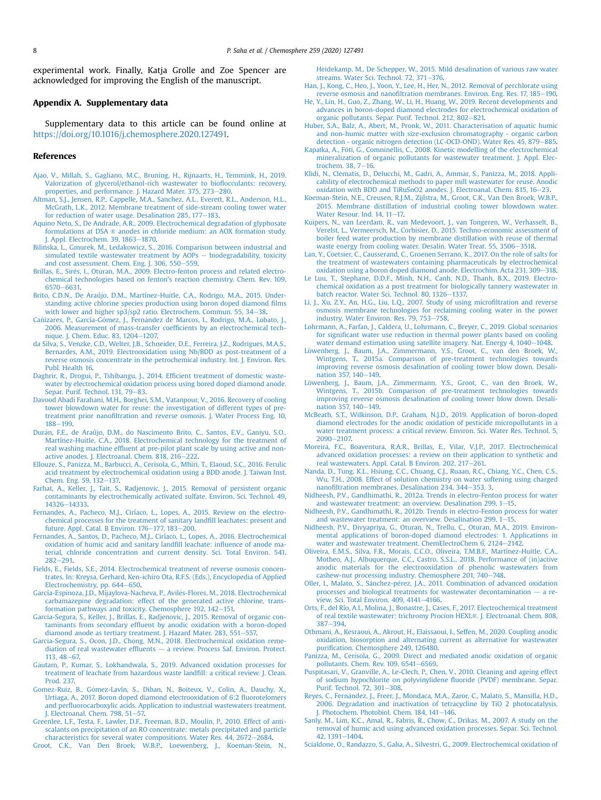experimental work. Finally, Katja Grolle and Zoe Spencer are acknowledged for improving the English of the manuscript.

#### Appendix A. Supplementary data

Supplementary data to this article can be found online at [https://doi.org/10.1016/j.chemosphere.2020.127491.](https://doi.org/10.1016/j.chemosphere.2020.127491)

#### References

- <span id="page-7-32"></span>[Ajao, V., Millah, S., Gagliano, M.C., Bruning, H., Rijnaarts, H., Temmink, H., 2019.](http://refhub.elsevier.com/S0045-6535(20)31685-4/sref1) [Valorization of glycerol/ethanol-rich wastewater to bio](http://refhub.elsevier.com/S0045-6535(20)31685-4/sref1)flocculants: recovery, [properties, and performance. J. Hazard Mater. 375, 273](http://refhub.elsevier.com/S0045-6535(20)31685-4/sref1)-[280.](http://refhub.elsevier.com/S0045-6535(20)31685-4/sref1)
- <span id="page-7-2"></span>[Altman, S.J., Jensen, R.P., Cappelle, M.A., Sanchez, A.L., Everett, R.L., Anderson, H.L.,](http://refhub.elsevier.com/S0045-6535(20)31685-4/sref2) [McGrath, L.K., 2012. Membrane treatment of side-stream cooling tower water](http://refhub.elsevier.com/S0045-6535(20)31685-4/sref2) [for reduction of water usage. Desalination 285, 177](http://refhub.elsevier.com/S0045-6535(20)31685-4/sref2)-[183](http://refhub.elsevier.com/S0045-6535(20)31685-4/sref2).
- <span id="page-7-46"></span>[Aquino Neto, S., De Andrade, A.R., 2009. Electrochemical degradation of glyphosate](http://refhub.elsevier.com/S0045-6535(20)31685-4/sref3) formulations at DSA ® [anodes in chloride medium: an AOX formation study.](http://refhub.elsevier.com/S0045-6535(20)31685-4/sref3) [J. Appl. Electrochem. 39, 1863](http://refhub.elsevier.com/S0045-6535(20)31685-4/sref3)-[1870.](http://refhub.elsevier.com/S0045-6535(20)31685-4/sref3)
- <span id="page-7-38"></span>Bilińska, L., Gmurek, M., Ledakowicz, S., 2016. Comparison between industrial and simulated textile wastewater treatment by  $AOPs - biodegradability$ , toxicity and cost assessment. Chem. Eng. J. 306,  $550-559$ .
- <span id="page-7-24"></span>Brillas, E., Sirés, I., Oturan, M.A., 2009. Electro-fenton process and related electro[chemical technologies based on fenton](http://refhub.elsevier.com/S0045-6535(20)31685-4/sref5)'s reaction chemistry. Chem. Rev. 109, [6570](http://refhub.elsevier.com/S0045-6535(20)31685-4/sref5)-[6631.](http://refhub.elsevier.com/S0045-6535(20)31685-4/sref5)
- <span id="page-7-28"></span>[Brito, C.D.N., De Araújo, D.M., Martínez-Huitle, C.A., Rodrigo, M.A., 2015. Under](http://refhub.elsevier.com/S0045-6535(20)31685-4/sref6)[standing active chlorine species production using boron doped diamond](http://refhub.elsevier.com/S0045-6535(20)31685-4/sref6) films [with lower and higher sp3/sp2 ratio. Electrochem. Commun. 55, 34](http://refhub.elsevier.com/S0045-6535(20)31685-4/sref6)-[38.](http://refhub.elsevier.com/S0045-6535(20)31685-4/sref6)
- <span id="page-7-31"></span>Cañizares, P., García-Gómez, J., Ferná[ndez de Marcos, I., Rodrigo, M.A., Lobato, J.,](http://refhub.elsevier.com/S0045-6535(20)31685-4/sref7) [2006. Measurement of mass-transfer coef](http://refhub.elsevier.com/S0045-6535(20)31685-4/sref7)ficients by an electrochemical tech[nique. J. Chem. Educ. 83, 1204](http://refhub.elsevier.com/S0045-6535(20)31685-4/sref7)-[1207.](http://refhub.elsevier.com/S0045-6535(20)31685-4/sref7)
- <span id="page-7-14"></span>[da Silva, S., Venzke, C.D., Welter, J.B., Schneider, D.E., Ferreira, J.Z., Rodrigues, M.A.S.,](http://refhub.elsevier.com/S0045-6535(20)31685-4/sref8) [Bernardes, A.M., 2019. Electrooxidation using Nb/BDD as post-treatment of a](http://refhub.elsevier.com/S0045-6535(20)31685-4/sref8) [reverse osmosis concentrate in the petrochemical industry. Int. J. Environ. Res.](http://refhub.elsevier.com/S0045-6535(20)31685-4/sref8) [Publ. Health 16](http://refhub.elsevier.com/S0045-6535(20)31685-4/sref8).
- <span id="page-7-19"></span>[Daghrir, R., Drogui, P., Tshibangu, J., 2014. Ef](http://refhub.elsevier.com/S0045-6535(20)31685-4/sref9)ficient treatment of domestic waste[water by electrochemical oxidation process using bored doped diamond anode.](http://refhub.elsevier.com/S0045-6535(20)31685-4/sref9) [Separ. Purif. Technol. 131, 79](http://refhub.elsevier.com/S0045-6535(20)31685-4/sref9)-[83](http://refhub.elsevier.com/S0045-6535(20)31685-4/sref9).
- <span id="page-7-8"></span>[Davood Abadi Farahani, M.H., Borghei, S.M., Vatanpour, V., 2016. Recovery of cooling](http://refhub.elsevier.com/S0045-6535(20)31685-4/sref10) [tower blowdown water for reuse: the investigation of different types of pre](http://refhub.elsevier.com/S0045-6535(20)31685-4/sref10)treatment prior nanofi[ltration and reverse osmosis. J. Water Process Eng. 10,](http://refhub.elsevier.com/S0045-6535(20)31685-4/sref10) [188](http://refhub.elsevier.com/S0045-6535(20)31685-4/sref10)-199
- <span id="page-7-20"></span>[Dur](http://refhub.elsevier.com/S0045-6535(20)31685-4/sref12)á[n, F.E., de Araújo, D.M., do Nascimento Brito, C., Santos, E.V., Ganiyu, S.O.,](http://refhub.elsevier.com/S0045-6535(20)31685-4/sref12) [Martínez-Huitle, C.A., 2018. Electrochemical technology for the treatment of](http://refhub.elsevier.com/S0045-6535(20)31685-4/sref12) real washing machine effl[uent at pre-pilot plant scale by using active and non](http://refhub.elsevier.com/S0045-6535(20)31685-4/sref12)[active anodes. J. Electroanal. Chem. 818, 216](http://refhub.elsevier.com/S0045-6535(20)31685-4/sref12)-[222.](http://refhub.elsevier.com/S0045-6535(20)31685-4/sref12)
- <span id="page-7-42"></span>[Ellouze, S., Panizza, M., Barbucci, A., Cerisola, G., Mhiri, T., Elaoud, S.C., 2016. Ferulic](http://refhub.elsevier.com/S0045-6535(20)31685-4/sref13) [acid treatment by electrochemical oxidation using a BDD anode. J. Taiwan Inst.](http://refhub.elsevier.com/S0045-6535(20)31685-4/sref13) Chem. Eng.  $59, 132-137$ .
- <span id="page-7-29"></span>[Farhat, A., Keller, J., Tait, S., Radjenovic, J., 2015. Removal of persistent organic](http://refhub.elsevier.com/S0045-6535(20)31685-4/sref14) [contaminants by electrochemically activated sulfate. Environ. Sci. Technol. 49,](http://refhub.elsevier.com/S0045-6535(20)31685-4/sref14) [14326](http://refhub.elsevier.com/S0045-6535(20)31685-4/sref14)-[14333.](http://refhub.elsevier.com/S0045-6535(20)31685-4/sref14)
- <span id="page-7-21"></span>[Fernandes, A., Pacheco, M.J., Ciríaco, L., Lopes, A., 2015. Review on the electro](http://refhub.elsevier.com/S0045-6535(20)31685-4/sref15)[chemical processes for the treatment of sanitary land](http://refhub.elsevier.com/S0045-6535(20)31685-4/sref15)fill leachates: present and future. Appl. Catal. B Environ.  $176-177$ ,  $183-200$ .
- <span id="page-7-22"></span>[Fernandes, A., Santos, D., Pacheco, M.J., Ciríaco, L., Lopes, A., 2016. Electrochemical](http://refhub.elsevier.com/S0045-6535(20)31685-4/sref16) [oxidation of humic acid and sanitary land](http://refhub.elsevier.com/S0045-6535(20)31685-4/sref16)fill leachate: influence of anode ma[terial, chloride concentration and current density. Sci. Total Environ. 541,](http://refhub.elsevier.com/S0045-6535(20)31685-4/sref16)  $282 - 291$  $282 - 291$ .
- <span id="page-7-47"></span>[Fields, E., Fields, S.E., 2014. Electrochemical treatment of reverse osmosis concen](http://refhub.elsevier.com/S0045-6535(20)31685-4/sref17)[trates. In: Kreysa, Gerhard, Ken-ichiro Ota, R.F.S. \(Eds.\), Encyclopedia of Applied](http://refhub.elsevier.com/S0045-6535(20)31685-4/sref17) [Electrochemistry, pp. 644](http://refhub.elsevier.com/S0045-6535(20)31685-4/sref17)-[650.](http://refhub.elsevier.com/S0045-6535(20)31685-4/sref17)
- <span id="page-7-48"></span>[García-Espinoza, J.D., Mijaylova-Nacheva, P., Avil](http://refhub.elsevier.com/S0045-6535(20)31685-4/sref18)e[s-Flores, M., 2018. Electrochemical](http://refhub.elsevier.com/S0045-6535(20)31685-4/sref18) [carbamazepine degradation: effect of the generated active chlorine, trans](http://refhub.elsevier.com/S0045-6535(20)31685-4/sref18)[formation pathways and toxicity. Chemosphere 192, 142](http://refhub.elsevier.com/S0045-6535(20)31685-4/sref18)-[151.](http://refhub.elsevier.com/S0045-6535(20)31685-4/sref18)
- <span id="page-7-18"></span>[Garcia-Segura, S., Keller, J., Brillas, E., Radjenovic, J., 2015. Removal of organic con](http://refhub.elsevier.com/S0045-6535(20)31685-4/sref19)taminants from secondary effl[uent by anodic oxidation with a boron-doped](http://refhub.elsevier.com/S0045-6535(20)31685-4/sref19) [diamond anode as tertiary treatment. J. Hazard Mater. 283, 551](http://refhub.elsevier.com/S0045-6535(20)31685-4/sref19)–[557.](http://refhub.elsevier.com/S0045-6535(20)31685-4/sref19)
- <span id="page-7-11"></span>[Garcia-Segura, S., Ocon, J.D., Chong, M.N., 2018. Electrochemical oxidation reme](http://refhub.elsevier.com/S0045-6535(20)31685-4/sref20)[diation of real wastewater ef](http://refhub.elsevier.com/S0045-6535(20)31685-4/sref20)fluents  $-$  [a review. Process Saf. Environ. Protect.](http://refhub.elsevier.com/S0045-6535(20)31685-4/sref20)  $113, 48 - 67.$  $113, 48 - 67.$  $113, 48 - 67.$
- <span id="page-7-23"></span>[Gautam, P., Kumar, S., Lokhandwala, S., 2019. Advanced oxidation processes for](http://refhub.elsevier.com/S0045-6535(20)31685-4/sref21) [treatment of leachate from hazardous waste land](http://refhub.elsevier.com/S0045-6535(20)31685-4/sref21)fill: a critical review. J. Clean. [Prod. 237.](http://refhub.elsevier.com/S0045-6535(20)31685-4/sref21)
- <span id="page-7-17"></span>Gomez-Ruiz, B., Gómez-Lavín, S., Diban, N., Boiteux, V., Colin, A., Dauchy, X., [Urtiaga, A., 2017. Boron doped diamond electrooxidation of 6:2](http://refhub.elsevier.com/S0045-6535(20)31685-4/sref22) fluorotelomers and perfl[uorocarboxylic acids. Application to industrial wastewaters treatment.](http://refhub.elsevier.com/S0045-6535(20)31685-4/sref22) [J. Electroanal. Chem. 798, 51](http://refhub.elsevier.com/S0045-6535(20)31685-4/sref22)-[57.](http://refhub.elsevier.com/S0045-6535(20)31685-4/sref22)
- <span id="page-7-6"></span>[Greenlee, L.F., Testa, F., Lawler, D.F., Freeman, B.D., Moulin, P., 2010. Effect of anti](http://refhub.elsevier.com/S0045-6535(20)31685-4/sref23)[scalants on precipitation of an RO concentrate: metals precipitated and particle](http://refhub.elsevier.com/S0045-6535(20)31685-4/sref23) [characteristics for several water compositions. Water Res. 44, 2672](http://refhub.elsevier.com/S0045-6535(20)31685-4/sref23)-[2684.](http://refhub.elsevier.com/S0045-6535(20)31685-4/sref23)
- <span id="page-7-3"></span>[Groot, C.K., Van Den Broek, W.B.P., Loewenberg, J., Koeman-Stein, N.,](http://refhub.elsevier.com/S0045-6535(20)31685-4/sref24)

[Heidekamp, M., De Schepper, W., 2015. Mild desalination of various raw water](http://refhub.elsevier.com/S0045-6535(20)31685-4/sref24) [streams. Water Sci. Technol. 72, 371](http://refhub.elsevier.com/S0045-6535(20)31685-4/sref24)-[376](http://refhub.elsevier.com/S0045-6535(20)31685-4/sref24).

- <span id="page-7-50"></span>[Han, J., Kong, C., Heo, J., Yoon, Y., Lee, H., Her, N., 2012. Removal of perchlorate using](http://refhub.elsevier.com/S0045-6535(20)31685-4/sref25) reverse osmosis and nanofi[ltration membranes. Environ. Eng. Res. 17, 185](http://refhub.elsevier.com/S0045-6535(20)31685-4/sref25)-[190](http://refhub.elsevier.com/S0045-6535(20)31685-4/sref25).
- <span id="page-7-25"></span>[He, Y., Lin, H., Guo, Z., Zhang, W., Li, H., Huang, W., 2019. Recent developments and](http://refhub.elsevier.com/S0045-6535(20)31685-4/sref26) [advances in boron-doped diamond electrodes for electrochemical oxidation of](http://refhub.elsevier.com/S0045-6535(20)31685-4/sref26) [organic pollutants. Separ. Purif. Technol. 212, 802](http://refhub.elsevier.com/S0045-6535(20)31685-4/sref26)-[821.](http://refhub.elsevier.com/S0045-6535(20)31685-4/sref26)
- <span id="page-7-33"></span>[Huber, S.A., Balz, A., Abert, M., Pronk, W., 2011. Characterisation of aquatic humic](http://refhub.elsevier.com/S0045-6535(20)31685-4/sref27) [and non-humic matter with size-exclusion chromatography - organic carbon](http://refhub.elsevier.com/S0045-6535(20)31685-4/sref27) [detection - organic nitrogen detection \(LC-OCD-OND\). Water Res. 45, 879](http://refhub.elsevier.com/S0045-6535(20)31685-4/sref27)–[885](http://refhub.elsevier.com/S0045-6535(20)31685-4/sref27).
- <span id="page-7-35"></span>Kapałka, A., Fóti, G., Comninellis, C., 2008. Kinetic modelling of the electrochemical [mineralization of organic pollutants for wastewater treatment. J. Appl. Elec](http://refhub.elsevier.com/S0045-6535(20)31685-4/sref28)trochem.  $38, 7-16$ .
- <span id="page-7-15"></span>[Klidi, N., Clematis, D., Delucchi, M., Gadri, A., Ammar, S., Panizza, M., 2018. Appli](http://refhub.elsevier.com/S0045-6535(20)31685-4/sref29)[cability of electrochemical methods to paper mill wastewater for reuse. Anodic](http://refhub.elsevier.com/S0045-6535(20)31685-4/sref29) [oxidation with BDD and TiRuSnO2 anodes. J. Electroanal. Chem. 815, 16](http://refhub.elsevier.com/S0045-6535(20)31685-4/sref29)-[23.](http://refhub.elsevier.com/S0045-6535(20)31685-4/sref29)
- <span id="page-7-4"></span>Koeman-Stein, N.E., Creusen, R.J.M., Zijlstra, M., Groot, C.K., Van Den Broek, W.B.P. [2015. Membrane distillation of industrial cooling tower blowdown water.](http://refhub.elsevier.com/S0045-6535(20)31685-4/sref30) Water Resour. Ind.  $14$ ,  $11-17$ .
- <span id="page-7-5"></span>[Kuipers, N., van Leerdam, R., van Medevoort, J., van Tongeren, W., Verhasselt, B.,](http://refhub.elsevier.com/S0045-6535(20)31685-4/sref31) [Verelst, L., Vermeersch, M., Corbisier, D., 2015. Techno-economic assessment of](http://refhub.elsevier.com/S0045-6535(20)31685-4/sref31) [boiler feed water production by membrane distillation with reuse of thermal](http://refhub.elsevier.com/S0045-6535(20)31685-4/sref31) [waste energy from cooling water. Desalin. Water Treat. 55, 3506](http://refhub.elsevier.com/S0045-6535(20)31685-4/sref31)-[3518.](http://refhub.elsevier.com/S0045-6535(20)31685-4/sref31)
- <span id="page-7-30"></span>[Lan, Y., Coetsier, C., Causserand, C., Groenen Serrano, K., 2017. On the role of salts for](http://refhub.elsevier.com/S0045-6535(20)31685-4/sref32) [the treatment of wastewaters containing pharmaceuticals by electrochemical](http://refhub.elsevier.com/S0045-6535(20)31685-4/sref32) [oxidation using a boron doped diamond anode. Electrochim. Acta 231, 309](http://refhub.elsevier.com/S0045-6535(20)31685-4/sref32)-[318](http://refhub.elsevier.com/S0045-6535(20)31685-4/sref32).
- <span id="page-7-16"></span>[Le Luu, T., Stephane, D.D.F., Minh, N.H., Canh, N.D., Thanh, B.X., 2019. Electro](http://refhub.elsevier.com/S0045-6535(20)31685-4/sref33)[chemical oxidation as a post treatment for biologically tannery wastewater in](http://refhub.elsevier.com/S0045-6535(20)31685-4/sref33) [batch reactor. Water Sci. Technol. 80, 1326](http://refhub.elsevier.com/S0045-6535(20)31685-4/sref33)-[1337.](http://refhub.elsevier.com/S0045-6535(20)31685-4/sref33)
- <span id="page-7-7"></span>[Li, J., Xu, Z.Y., An, H.G., Liu, L.Q., 2007. Study of using micro](http://refhub.elsevier.com/S0045-6535(20)31685-4/sref34)filtration and reverse [osmosis membrane technologies for reclaiming cooling water in the power](http://refhub.elsevier.com/S0045-6535(20)31685-4/sref34) [industry. Water Environ. Res. 79, 753](http://refhub.elsevier.com/S0045-6535(20)31685-4/sref34)-[758](http://refhub.elsevier.com/S0045-6535(20)31685-4/sref34).
- <span id="page-7-0"></span>[Lohrmann, A., Farfan, J., Caldera, U., Lohrmann, C., Breyer, C., 2019. Global scenarios](http://refhub.elsevier.com/S0045-6535(20)31685-4/sref35) for signifi[cant water use reduction in thermal power plants based on cooling](http://refhub.elsevier.com/S0045-6535(20)31685-4/sref35) [water demand estimation using satellite imagery. Nat. Energy 4, 1040](http://refhub.elsevier.com/S0045-6535(20)31685-4/sref35)-[1048](http://refhub.elsevier.com/S0045-6535(20)31685-4/sref35).
- <span id="page-7-9"></span>[L](http://refhub.elsevier.com/S0045-6535(20)31685-4/sref36)ö[wenberg, J., Baum, J.A., Zimmermann, Y.S., Groot, C., van den Broek, W.,](http://refhub.elsevier.com/S0045-6535(20)31685-4/sref36) [Wintgens, T., 2015a. Comparison of pre-treatment technologies towards](http://refhub.elsevier.com/S0045-6535(20)31685-4/sref36) [improving reverse osmosis desalination of cooling tower blow down. Desali](http://refhub.elsevier.com/S0045-6535(20)31685-4/sref36)[nation 357, 140](http://refhub.elsevier.com/S0045-6535(20)31685-4/sref36)-[149](http://refhub.elsevier.com/S0045-6535(20)31685-4/sref36).
- <span id="page-7-41"></span>[L](http://refhub.elsevier.com/S0045-6535(20)31685-4/sref37)ö[wenberg, J., Baum, J.A., Zimmermann, Y.S., Groot, C., van den Broek, W.,](http://refhub.elsevier.com/S0045-6535(20)31685-4/sref37) [Wintgens, T., 2015b. Comparison of pre-treatment technologies towards](http://refhub.elsevier.com/S0045-6535(20)31685-4/sref37) [improving reverse osmosis desalination of cooling tower blow down. Desali](http://refhub.elsevier.com/S0045-6535(20)31685-4/sref37)[nation 357, 140](http://refhub.elsevier.com/S0045-6535(20)31685-4/sref37)-[149](http://refhub.elsevier.com/S0045-6535(20)31685-4/sref37).
- <span id="page-7-12"></span>[McBeath, S.T., Wilkinson, D.P., Graham, N.J.D., 2019. Application of boron-doped](http://refhub.elsevier.com/S0045-6535(20)31685-4/sref38) [diamond electrodes for the anodic oxidation of pesticide micropollutants in a](http://refhub.elsevier.com/S0045-6535(20)31685-4/sref38) [water treatment process: a critical review. Environ. Sci. Water Res. Technol. 5,](http://refhub.elsevier.com/S0045-6535(20)31685-4/sref38) [2090](http://refhub.elsevier.com/S0045-6535(20)31685-4/sref38)-[2107.](http://refhub.elsevier.com/S0045-6535(20)31685-4/sref38)
- <span id="page-7-10"></span>[Moreira, F.C., Boaventura, R.A.R., Brillas, E., Vilar, V.J.P., 2017. Electrochemical](http://refhub.elsevier.com/S0045-6535(20)31685-4/sref39) [advanced oxidation processes: a review on their application to synthetic and](http://refhub.elsevier.com/S0045-6535(20)31685-4/sref39)<br>[real wastewaters. Appl. Catal. B Environ. 202, 217](http://refhub.elsevier.com/S0045-6535(20)31685-4/sref39)–[261.](http://refhub.elsevier.com/S0045-6535(20)31685-4/sref39)
- <span id="page-7-1"></span>[Nanda, D., Tung, K.L., Hsiung, C.C., Chuang, C.J., Ruaan, R.C., Chiang, Y.C., Chen, C.S.,](http://refhub.elsevier.com/S0045-6535(20)31685-4/sref40) [Wu, T.H., 2008. Effect of solution chemistry on water softening using charged](http://refhub.elsevier.com/S0045-6535(20)31685-4/sref40) nanofi[ltration membranes. Desalination 234, 344](http://refhub.elsevier.com/S0045-6535(20)31685-4/sref40)-[353, 3.](http://refhub.elsevier.com/S0045-6535(20)31685-4/sref40)
- <span id="page-7-43"></span>[Nidheesh, P.V., Gandhimathi, R., 2012a. Trends in electro-Fenton process for water](http://refhub.elsevier.com/S0045-6535(20)31685-4/sref41) and wastewater treatment: an overview. Desalination 299,  $1-15$ .
- <span id="page-7-44"></span>[Nidheesh, P.V., Gandhimathi, R., 2012b. Trends in electro-Fenton process for water](http://refhub.elsevier.com/S0045-6535(20)31685-4/sref42) and wastewater treatment: an overview. Desalination  $299$ ,  $1-15$ .
- <span id="page-7-26"></span>[Nidheesh, P.V., Divyapriya, G., Oturan, N., Trellu, C., Oturan, M.A., 2019. Environ](http://refhub.elsevier.com/S0045-6535(20)31685-4/sref43)[mental applications of boron-doped diamond electrodes: 1. Applications in](http://refhub.elsevier.com/S0045-6535(20)31685-4/sref43) [water and wastewater treatment. ChemElectroChem 6, 2124](http://refhub.elsevier.com/S0045-6535(20)31685-4/sref43)-[2142.](http://refhub.elsevier.com/S0045-6535(20)31685-4/sref43)
- <span id="page-7-37"></span>[Oliveira, E.M.S., Silva, F.R., Morais, C.C.O., Oliveira, T.M.B.F., Martínez-Huitle, C.A.,](http://refhub.elsevier.com/S0045-6535(20)31685-4/sref44) [Motheo, A.J., Albuquerque, C.C., Castro, S.S.L., 2018. Performance of \(in\)active](http://refhub.elsevier.com/S0045-6535(20)31685-4/sref44) [anodic materials for the electrooxidation of phenolic wastewaters from](http://refhub.elsevier.com/S0045-6535(20)31685-4/sref44) cashew-nut processing industry. Chemosphere  $201$ ,  $740-748$ .
- <span id="page-7-39"></span>[Oller, I., Malato, S., S](http://refhub.elsevier.com/S0045-6535(20)31685-4/sref45)ánchez-pérez, J.A., 2011. Combination of advanced oxidation [processes and biological treatments for wastewater decontamination](http://refhub.elsevier.com/S0045-6535(20)31685-4/sref45)  $-$  [a re](http://refhub.elsevier.com/S0045-6535(20)31685-4/sref45)[view. Sci. Total Environ. 409, 4141](http://refhub.elsevier.com/S0045-6535(20)31685-4/sref45)-[4166](http://refhub.elsevier.com/S0045-6535(20)31685-4/sref45).
- <span id="page-7-40"></span>[Orts, F., del Río, A.I., Molina, J., Bonastre, J., Cases, F., 2017. Electrochemical treatment](http://refhub.elsevier.com/S0045-6535(20)31685-4/sref46) [of real textile wastewater: trichromy Procion HEXL](http://refhub.elsevier.com/S0045-6535(20)31685-4/sref46)®. J. Electroanal. Chem. 808, [387](http://refhub.elsevier.com/S0045-6535(20)31685-4/sref46)-[394](http://refhub.elsevier.com/S0045-6535(20)31685-4/sref46).
- <span id="page-7-13"></span>[Othmani, A., Kesraoui, A., Akrout, H., Elaissaoui, I., Seffen, M., 2020. Coupling anodic](http://refhub.elsevier.com/S0045-6535(20)31685-4/sref47) [oxidation, biosorption and alternating current as alternative for wastewater](http://refhub.elsevier.com/S0045-6535(20)31685-4/sref47) purifi[cation. Chemosphere 249, 126480.](http://refhub.elsevier.com/S0045-6535(20)31685-4/sref47)
- <span id="page-7-27"></span>[Panizza, M., Cerisola, G., 2009. Direct and mediated anodic oxidation of organic](http://refhub.elsevier.com/S0045-6535(20)31685-4/sref48) [pollutants. Chem. Rev. 109, 6541](http://refhub.elsevier.com/S0045-6535(20)31685-4/sref48)-[6569](http://refhub.elsevier.com/S0045-6535(20)31685-4/sref48).
- <span id="page-7-49"></span>[Puspitasari, V., Granville, A., Le-Clech, P., Chen, V., 2010. Cleaning and ageing effect](http://refhub.elsevier.com/S0045-6535(20)31685-4/sref49) [of sodium hypochlorite on polyvinylidene](http://refhub.elsevier.com/S0045-6535(20)31685-4/sref49) fluoride (PVDF) membrane. Separ. [Purif. Technol. 72, 301](http://refhub.elsevier.com/S0045-6535(20)31685-4/sref49)-[308](http://refhub.elsevier.com/S0045-6535(20)31685-4/sref49).
- <span id="page-7-34"></span>Reyes, C., Fernández, J., Freer, J., Mondaca, M.A., Zaror, C., Malato, S., Mansilla, H.D., [2006. Degradation and inactivation of tetracycline by TiO 2 photocatalysis.](http://refhub.elsevier.com/S0045-6535(20)31685-4/sref50) [J. Photochem. Photobiol. Chem. 184, 141](http://refhub.elsevier.com/S0045-6535(20)31685-4/sref50)-[146.](http://refhub.elsevier.com/S0045-6535(20)31685-4/sref50)
- <span id="page-7-45"></span>[Sanly, M., Lim, K.C., Amal, R., Fabris, R., Chow, C., Drikas, M., 2007. A study on the](http://refhub.elsevier.com/S0045-6535(20)31685-4/sref51) [removal of humic acid using advanced oxidation processes. Separ. Sci. Technol.](http://refhub.elsevier.com/S0045-6535(20)31685-4/sref51) [42, 1391](http://refhub.elsevier.com/S0045-6535(20)31685-4/sref51)-[1404](http://refhub.elsevier.com/S0045-6535(20)31685-4/sref51).
- <span id="page-7-36"></span>[Scialdone, O., Randazzo, S., Galia, A., Silvestri, G., 2009. Electrochemical oxidation of](http://refhub.elsevier.com/S0045-6535(20)31685-4/sref52)